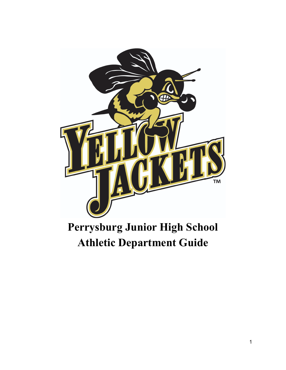

# **Perrysburg Junior High School Athletic Department Guide**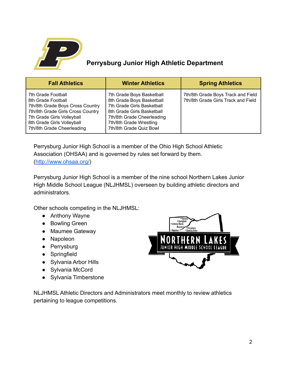

# **Perrysburg Junior High Athletic Department**

| <b>Fall Athletics</b>                                                                                                                                                                                       | <b>Winter Athletics</b>                                                                                                                                                                                | <b>Spring Athletics</b>                                                   |
|-------------------------------------------------------------------------------------------------------------------------------------------------------------------------------------------------------------|--------------------------------------------------------------------------------------------------------------------------------------------------------------------------------------------------------|---------------------------------------------------------------------------|
| 7th Grade Football<br>8th Grade Football<br>7th/8th Grade Boys Cross Country<br>7th/8th Grade Girls Cross Country<br>7th Grade Girls Volleyball<br>8th Grade Girls Volleyball<br>7th/8th Grade Cheerleading | 7th Grade Boys Basketball<br>8th Grade Boys Basketball<br>7th Grade Girls Basketball<br>8th Grade Girls Basketball<br>7th/8th Grade Cheerleading<br>7th/8th Grade Wrestling<br>7th/8th Grade Quiz Bowl | 7th/8th Grade Boys Track and Field<br>7th/8th Grade Girls Track and Field |

Perrysburg Junior High School is a member of the Ohio High School Athletic Association (OHSAA) and is governed by rules set forward by them. (<http://www.ohsaa.org/>)

Perrysburg Junior High School is a member of the nine school Northern Lakes Junior High Middle School League (NLJHMSL) overseen by building athletic directors and administrators.

Other schools competing in the NLJHMSL:

- Anthony Wayne
- Bowling Green
- Maumee Gateway
- Napoleon
- Perrysburg
- Springfield
- Sylvania Arbor Hills
- Sylvania McCord
- Sylvania Timberstone



NLJHMSL Athletic Directors and Administrators meet monthly to review athletics pertaining to league competitions.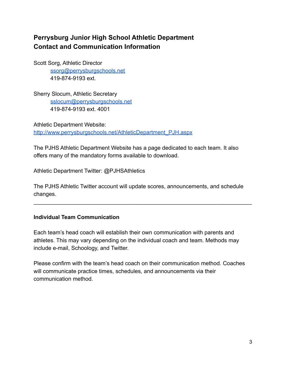# **Perrysburg Junior High School Athletic Department Contact and Communication Information**

Scott Sorg, Athletic Director [ssorg@perrysburgschools.net](mailto:sbuker@perrysburgschools.net) 419-874-9193 ext.

Sherry Slocum, Athletic Secretary [sslocum@perrysburgschools.net](mailto:sslocum@perrysburgschools.net) 419-874-9193 ext. 4001

Athletic Department Website: [http://www.perrysburgschools.net/AthleticDepartment\\_PJH.aspx](http://www.perrysburgschools.net/AthleticDepartment_PJH.aspx)

The PJHS Athletic Department Website has a page dedicated to each team. It also offers many of the mandatory forms available to download.

Athletic Department Twitter: @PJHSAthletics

The PJHS Athletic Twitter account will update scores, announcements, and schedule changes.

 $\mathcal{L}_\text{max} = \mathcal{L}_\text{max} = \mathcal{L}_\text{max} = \mathcal{L}_\text{max} = \mathcal{L}_\text{max} = \mathcal{L}_\text{max} = \mathcal{L}_\text{max} = \mathcal{L}_\text{max} = \mathcal{L}_\text{max} = \mathcal{L}_\text{max} = \mathcal{L}_\text{max} = \mathcal{L}_\text{max} = \mathcal{L}_\text{max} = \mathcal{L}_\text{max} = \mathcal{L}_\text{max} = \mathcal{L}_\text{max} = \mathcal{L}_\text{max} = \mathcal{L}_\text{max} = \mathcal{$ 

## **Individual Team Communication**

Each team's head coach will establish their own communication with parents and athletes. This may vary depending on the individual coach and team. Methods may include e-mail, Schoology, and Twitter.

Please confirm with the team's head coach on their communication method. Coaches will communicate practice times, schedules, and announcements via their communication method.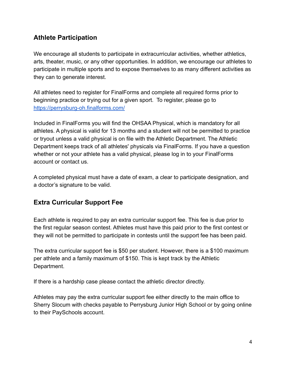# **Athlete Participation**

We encourage all students to participate in extracurricular activities, whether athletics, arts, theater, music, or any other opportunities. In addition, we encourage our athletes to participate in multiple sports and to expose themselves to as many different activities as they can to generate interest.

All athletes need to register for FinalForms and complete all required forms prior to beginning practice or trying out for a given sport. To register, please go to <https://perrysburg-oh.finalforms.com/>

Included in FinalForms you will find the OHSAA Physical, which is mandatory for all athletes. A physical is valid for 13 months and a student will not be permitted to practice or tryout unless a valid physical is on file with the Athletic Department. The Athletic Department keeps track of all athletes' physicals via FinalForms. If you have a question whether or not your athlete has a valid physical, please log in to your FinalForms account or contact us.

A completed physical must have a date of exam, a clear to participate designation, and a doctor's signature to be valid.

# **Extra Curricular Support Fee**

Each athlete is required to pay an extra curricular support fee. This fee is due prior to the first regular season contest. Athletes must have this paid prior to the first contest or they will not be permitted to participate in contests until the support fee has been paid.

The extra curricular support fee is \$50 per student. However, there is a \$100 maximum per athlete and a family maximum of \$150. This is kept track by the Athletic Department.

If there is a hardship case please contact the athletic director directly.

Athletes may pay the extra curricular support fee either directly to the main office to Sherry Slocum with checks payable to Perrysburg Junior High School or by going online to their PaySchools account.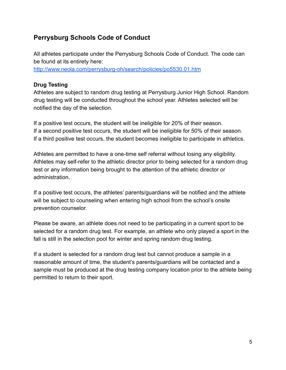# **Perrysburg Schools Code of Conduct**

All athletes participate under the Perrysburg Schools Code of Conduct. The code can be found at its entirety here: <http://www.neola.com/perrysburg-oh/search/policies/po5530.01.htm>

#### **Drug Testing**

Athletes are subject to random drug testing at Perrysburg Junior High School. Random drug testing will be conducted throughout the school year. Athletes selected will be notified the day of the selection.

If a positive test occurs, the student will be ineligible for 20% of their season. If a second positive test occurs, the student will be ineligible for 50% of their season. If a third positive test occurs, the student becomes ineligible to participate in athletics.

Athletes are permitted to have a one-time self referral without losing any eligibility. Athletes may self-refer to the athletic director prior to being selected for a random drug test or any information being brought to the attention of the athletic director or administration.

If a positive test occurs, the athletes' parents/guardians will be notified and the athlete will be subject to counseling when entering high school from the school's onsite prevention counselor.

Please be aware, an athlete does not need to be participating in a current sport to be selected for a random drug test. For example, an athlete who only played a sport in the fall is still in the selection pool for winter and spring random drug testing.

If a student is selected for a random drug test but cannot produce a sample in a reasonable amount of time, the student's parents/guardians will be contacted and a sample must be produced at the drug testing company location prior to the athlete being permitted to return to their sport.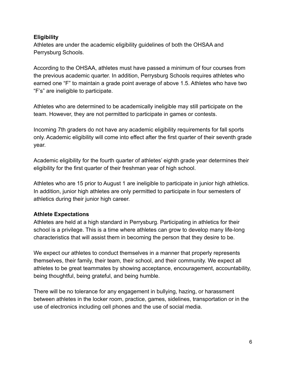## **Eligibility**

Athletes are under the academic eligibility guidelines of both the OHSAA and Perrysburg Schools.

According to the OHSAA, athletes must have passed a minimum of four courses from the previous academic quarter. In addition, Perrysburg Schools requires athletes who earned one "F" to maintain a grade point average of above 1.5. Athletes who have two "F's" are ineligible to participate.

Athletes who are determined to be academically ineligible may still participate on the team. However, they are not permitted to participate in games or contests.

Incoming 7th graders do not have any academic eligibility requirements for fall sports only. Academic eligibility will come into effect after the first quarter of their seventh grade year.

Academic eligibility for the fourth quarter of athletes' eighth grade year determines their eligibility for the first quarter of their freshman year of high school.

Athletes who are 15 prior to August 1 are ineligible to participate in junior high athletics. In addition, junior high athletes are only permitted to participate in four semesters of athletics during their junior high career.

## **Athlete Expectations**

Athletes are held at a high standard in Perrysburg. Participating in athletics for their school is a privilege. This is a time where athletes can grow to develop many life-long characteristics that will assist them in becoming the person that they desire to be.

We expect our athletes to conduct themselves in a manner that properly represents themselves, their family, their team, their school, and their community. We expect all athletes to be great teammates by showing acceptance, encouragement, accountability, being thoughtful, being grateful, and being humble.

There will be no tolerance for any engagement in bullying, hazing, or harassment between athletes in the locker room, practice, games, sidelines, transportation or in the use of electronics including cell phones and the use of social media.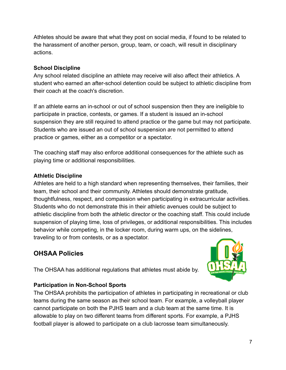Athletes should be aware that what they post on social media, if found to be related to the harassment of another person, group, team, or coach, will result in disciplinary actions.

## **School Discipline**

Any school related discipline an athlete may receive will also affect their athletics. A student who earned an after-school detention could be subject to athletic discipline from their coach at the coach's discretion.

If an athlete earns an in-school or out of school suspension then they are ineligible to participate in practice, contests, or games. If a student is issued an in-school suspension they are still required to attend practice or the game but may not participate. Students who are issued an out of school suspension are not permitted to attend practice or games, either as a competitor or a spectator.

The coaching staff may also enforce additional consequences for the athlete such as playing time or additional responsibilities.

## **Athletic Discipline**

Athletes are held to a high standard when representing themselves, their families, their team, their school and their community. Athletes should demonstrate gratitude, thoughtfulness, respect, and compassion when participating in extracurricular activities. Students who do not demonstrate this in their athletic avenues could be subject to athletic discipline from both the athletic director or the coaching staff. This could include suspension of playing time, loss of privileges, or additional responsibilities. This includes behavior while competing, in the locker room, during warm ups, on the sidelines, traveling to or from contests, or as a spectator.

# **OHSAA Policies**



The OHSAA has additional regulations that athletes must abide by.

## **Participation in Non-School Sports**

The OHSAA prohibits the participation of athletes in participating in recreational or club teams during the same season as their school team. For example, a volleyball player cannot participate on both the PJHS team and a club team at the same time. It is allowable to play on two different teams from different sports. For example, a PJHS football player is allowed to participate on a club lacrosse team simultaneously.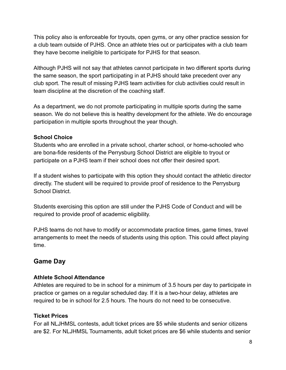This policy also is enforceable for tryouts, open gyms, or any other practice session for a club team outside of PJHS. Once an athlete tries out or participates with a club team they have become ineligible to participate for PJHS for that season.

Although PJHS will not say that athletes cannot participate in two different sports during the same season, the sport participating in at PJHS should take precedent over any club sport. The result of missing PJHS team activities for club activities could result in team discipline at the discretion of the coaching staff.

As a department, we do not promote participating in multiple sports during the same season. We do not believe this is healthy development for the athlete. We do encourage participation in multiple sports throughout the year though.

#### **School Choice**

Students who are enrolled in a private school, charter school, or home-schooled who are bona-fide residents of the Perrysburg School District are eligible to tryout or participate on a PJHS team if their school does not offer their desired sport.

If a student wishes to participate with this option they should contact the athletic director directly. The student will be required to provide proof of residence to the Perrysburg School District.

Students exercising this option are still under the PJHS Code of Conduct and will be required to provide proof of academic eligibility.

PJHS teams do not have to modify or accommodate practice times, game times, travel arrangements to meet the needs of students using this option. This could affect playing time.

# **Game Day**

#### **Athlete School Attendance**

Athletes are required to be in school for a minimum of 3.5 hours per day to participate in practice or games on a regular scheduled day. If it is a two-hour delay, athletes are required to be in school for 2.5 hours. The hours do not need to be consecutive.

## **Ticket Prices**

For all NLJHMSL contests, adult ticket prices are \$5 while students and senior citizens are \$2. For NLJHMSL Tournaments, adult ticket prices are \$6 while students and senior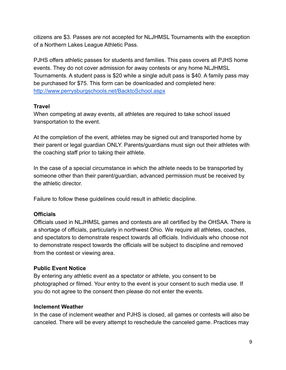citizens are \$3. Passes are not accepted for NLJHMSL Tournaments with the exception of a Northern Lakes League Athletic Pass.

PJHS offers athletic passes for students and families. This pass covers all PJHS home events. They do not cover admission for away contests or any home NLJHMSL Tournaments. A student pass is \$20 while a single adult pass is \$40. A family pass may be purchased for \$75. This form can be downloaded and completed here: <http://www.perrysburgschools.net/BacktoSchool.aspx>

## **Travel**

When competing at away events, all athletes are required to take school issued transportation to the event.

At the completion of the event, athletes may be signed out and transported home by their parent or legal guardian ONLY. Parents/guardians must sign out their athletes with the coaching staff prior to taking their athlete.

In the case of a special circumstance in which the athlete needs to be transported by someone other than their parent/guardian, advanced permission must be received by the athletic director.

Failure to follow these guidelines could result in athletic discipline.

## **Officials**

Officials used in NLJHMSL games and contests are all certified by the OHSAA. There is a shortage of officials, particularly in northwest Ohio. We require all athletes, coaches, and spectators to demonstrate respect towards all officials. Individuals who choose not to demonstrate respect towards the officials will be subject to discipline and removed from the contest or viewing area.

## **Public Event Notice**

By entering any athletic event as a spectator or athlete, you consent to be photographed or filmed. Your entry to the event is your consent to such media use. If you do not agree to the consent then please do not enter the events.

## **Inclement Weather**

In the case of inclement weather and PJHS is closed, all games or contests will also be canceled. There will be every attempt to reschedule the canceled game. Practices may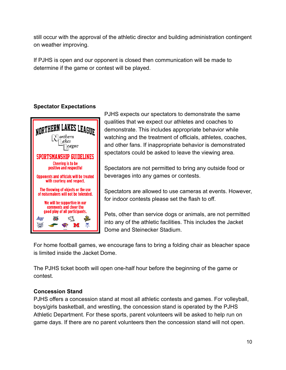still occur with the approval of the athletic director and building administration contingent on weather improving.

If PJHS is open and our opponent is closed then communication will be made to determine if the game or contest will be played.

## **Spectator Expectations**



PJHS expects our spectators to demonstrate the same qualities that we expect our athletes and coaches to demonstrate. This includes appropriate behavior while watching and the treatment of officials, athletes, coaches, and other fans. If inappropriate behavior is demonstrated spectators could be asked to leave the viewing area.

Spectators are not permitted to bring any outside food or beverages into any games or contests.

Spectators are allowed to use cameras at events. However, for indoor contests please set the flash to off.

Pets, other than service dogs or animals, are not permitted into any of the athletic facilities. This includes the Jacket Dome and Steinecker Stadium.

For home football games, we encourage fans to bring a folding chair as bleacher space is limited inside the Jacket Dome.

The PJHS ticket booth will open one-half hour before the beginning of the game or contest.

## **Concession Stand**

PJHS offers a concession stand at most all athletic contests and games. For volleyball, boys/girls basketball, and wrestling, the concession stand is operated by the PJHS Athletic Department. For these sports, parent volunteers will be asked to help run on game days. If there are no parent volunteers then the concession stand will not open.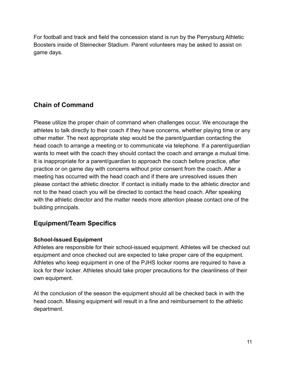For football and track and field the concession stand is run by the Perrysburg Athletic Boosters inside of Steinecker Stadium. Parent volunteers may be asked to assist on game days.

# **Chain of Command**

Please utilize the proper chain of command when challenges occur. We encourage the athletes to talk directly to their coach if they have concerns, whether playing time or any other matter. The next appropriate step would be the parent/guardian contacting the head coach to arrange a meeting or to communicate via telephone. If a parent/guardian wants to meet with the coach they should contact the coach and arrange a mutual time. It is inappropriate for a parent/guardian to approach the coach before practice, after practice or on game day with concerns without prior consent from the coach. After a meeting has occurred with the head coach and if there are unresolved issues then please contact the athletic director. If contact is initially made to the athletic director and not to the head coach you will be directed to contact the head coach. After speaking with the athletic director and the matter needs more attention please contact one of the building principals.

# **Equipment/Team Specifics**

#### **School-Issued Equipment**

Athletes are responsible for their school-issued equipment. Athletes will be checked out equipment and once checked out are expected to take proper care of the equipment. Athletes who keep equipment in one of the PJHS locker rooms are required to have a lock for their locker. Athletes should take proper precautions for the cleanliness of their own equipment.

At the conclusion of the season the equipment should all be checked back in with the head coach. Missing equipment will result in a fine and reimbursement to the athletic department.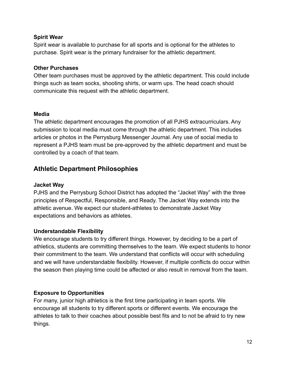#### **Spirit Wear**

Spirit wear is available to purchase for all sports and is optional for the athletes to purchase. Spirit wear is the primary fundraiser for the athletic department.

#### **Other Purchases**

Other team purchases must be approved by the athletic department. This could include things such as team socks, shooting shirts, or warm ups. The head coach should communicate this request with the athletic department.

#### **Media**

The athletic department encourages the promotion of all PJHS extracurriculars. Any submission to local media must come through the athletic department. This includes articles or photos in the Perrysburg Messenger Journal. Any use of social media to represent a PJHS team must be pre-approved by the athletic department and must be controlled by a coach of that team.

# **Athletic Department Philosophies**

#### **Jacket Way**

PJHS and the Perrysburg School District has adopted the "Jacket Way" with the three principles of Respectful, Responsible, and Ready. The Jacket Way extends into the athletic avenue. We expect our student-athletes to demonstrate Jacket Way expectations and behaviors as athletes.

#### **Understandable Flexibility**

We encourage students to try different things. However, by deciding to be a part of athletics, students are committing themselves to the team. We expect students to honor their commitment to the team. We understand that conflicts will occur with scheduling and we will have understandable flexibility. However, if multiple conflicts do occur within the season then playing time could be affected or also result in removal from the team.

## **Exposure to Opportunities**

For many, junior high athletics is the first time participating in team sports. We encourage all students to try different sports or different events. We encourage the athletes to talk to their coaches about possible best fits and to not be afraid to try new things.